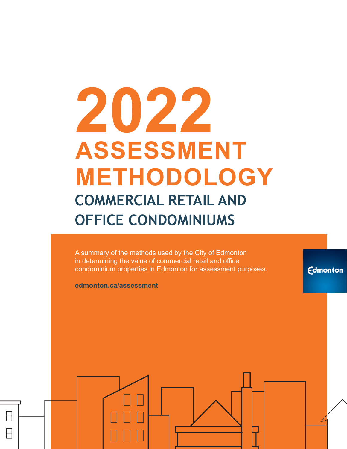# **2022 ASSESSMENT METHODOLOGY COMMERCIAL RETAIL AND OFFICE CONDOMINIUMS**

A summary of the methods used by the City of Edmonton in determining the value of commercial retail and office condominium properties in Edmonton for assessment purposes.

**Edmonton** 

**edmonton.ca/assessment**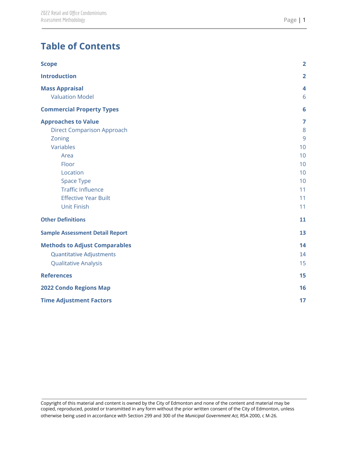# **Table of Contents**

| <b>Scope</b>                           | $\overline{\mathbf{2}}$ |
|----------------------------------------|-------------------------|
| <b>Introduction</b>                    | $\overline{2}$          |
| <b>Mass Appraisal</b>                  | $\overline{\mathbf{4}}$ |
| <b>Valuation Model</b>                 | 6                       |
| <b>Commercial Property Types</b>       | 6                       |
| <b>Approaches to Value</b>             | 7                       |
| <b>Direct Comparison Approach</b>      | 8                       |
| Zoning                                 | 9                       |
| Variables                              | 10                      |
| Area                                   | 10                      |
| Floor                                  | 10                      |
| Location                               | 10                      |
| Space Type                             | 10                      |
| <b>Traffic Influence</b>               | 11                      |
| <b>Effective Year Built</b>            | 11                      |
| <b>Unit Finish</b>                     | 11                      |
| <b>Other Definitions</b>               | 11                      |
| <b>Sample Assessment Detail Report</b> | 13                      |
| <b>Methods to Adjust Comparables</b>   | 14                      |
| <b>Quantitative Adjustments</b>        | 14                      |
| <b>Qualitative Analysis</b>            | 15                      |
| <b>References</b>                      | 15                      |
| <b>2022 Condo Regions Map</b>          | 16                      |
| <b>Time Adjustment Factors</b>         | 17                      |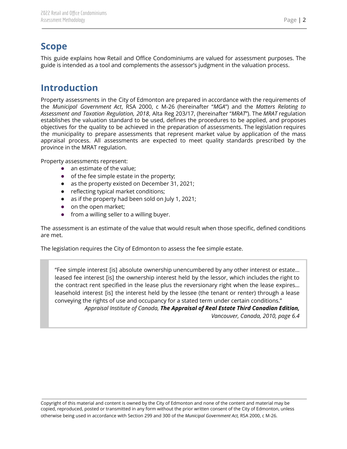## <span id="page-2-0"></span>**Scope**

This guide explains how Retail and Office Condominiums are valued for assessment purposes. The guide is intended as a tool and complements the assessor's judgment in the valuation process.

# <span id="page-2-1"></span>**Introduction**

Property assessments in the City of Edmonton are prepared in accordance with the requirements of the *Municipal Government Act*, RSA 2000, c M-26 (hereinafter "*MGA*") and the *Matters Relating to Assessment and Taxation Regulation, 2018*, Alta Reg 203/17, (hereinafter "*MRAT*"). The *MRAT* regulation establishes the valuation standard to be used, defines the procedures to be applied, and proposes objectives for the quality to be achieved in the preparation of assessments. The legislation requires the municipality to prepare assessments that represent market value by application of the mass appraisal process. All assessments are expected to meet quality standards prescribed by the province in the MRAT regulation.

Property assessments represent:

- an estimate of the value;
- of the fee simple estate in the property;
- as the property existed on December 31, 2021;
- reflecting typical market conditions;
- as if the property had been sold on July 1, 2021;
- on the open market;
- from a willing seller to a willing buyer.

The assessment is an estimate of the value that would result when those specific, defined conditions are met.

The legislation requires the City of Edmonton to assess the fee simple estate.

"Fee simple interest [is] absolute ownership unencumbered by any other interest or estate… leased fee interest [is] the ownership interest held by the lessor, which includes the right to the contract rent specified in the lease plus the reversionary right when the lease expires… leasehold interest [is] the interest held by the lessee (the tenant or renter) through a lease conveying the rights of use and occupancy for a stated term under certain conditions." *Appraisal Institute of Canada, The Appraisal of Real Estate Third Canadian Edition,*

*Vancouver, Canada, 2010, page 6.4*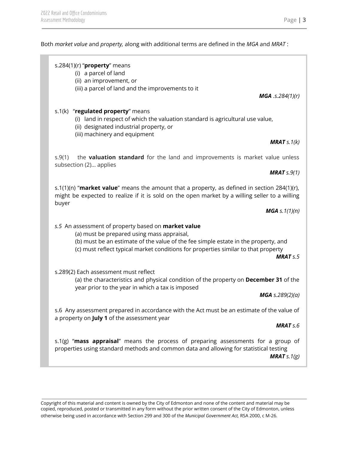Both *market value* and *property,* along with additional terms are defined in the *MGA* and *MRAT* :

#### s.284(1)(r) "**property**" means

(i) a parcel of land

(ii) an improvement, or

(iii) a parcel of land and the improvements to it

#### s.1(k) "**regulated property**" means

(i) land in respect of which the valuation standard is agricultural use value,

- (ii) designated industrial property, or
- (iii) machinery and equipment

s.9(1) the **valuation standard** for the land and improvements is market value unless subsection (2)… applies

s.1(1)(n) "**market value**" means the amount that a property, as defined in section 284(1)(r), might be expected to realize if it is sold on the open market by a willing seller to a willing buyer

*MGA s.1(1)(n)*

#### *s.5* An assessment of property based on **market value**

(a) must be prepared using mass appraisal,

(b) must be an estimate of the value of the fee simple estate in the property, and

(c) must reflect typical market conditions for properties similar to that property

*MRAT s.5*

s.289(2) Each assessment must reflect

(a) the characteristics and physical condition of the property on **December 31** of the year prior to the year in which a tax is imposed

*MGA s.289(2)(a)*

s.6 Any assessment prepared in accordance with the Act must be an estimate of the value of a property on **July 1** of the assessment year

*MRAT s.6*

s.1(g) "**mass appraisal**" means the process of preparing assessments for a group of properties using standard methods and common data and allowing for statistical testing *MRAT s.1(g)*

Copyright of this material and content is owned by the City of Edmonton and none of the content and material may be copied, reproduced, posted or transmitted in any form without the prior written consent of the City of Edmonton, unless otherwise being used in accordance with Section 299 and 300 of the *Municipal Government Act,* RSA 2000, c M-26.

*MGA .s.284(1)(r)*

*MRAT s.1(k)*

*MRAT s.9(1)*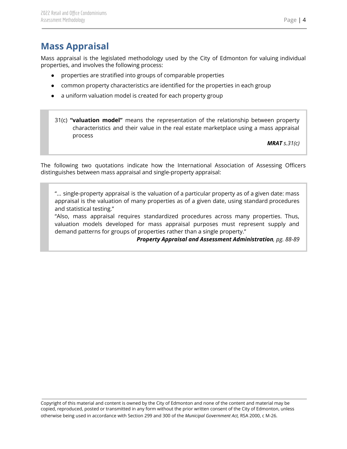# <span id="page-4-0"></span>**Mass Appraisal**

Mass appraisal is the legislated methodology used by the City of Edmonton for valuing individual properties, and involves the following process:

- properties are stratified into groups of comparable properties
- common property characteristics are identified for the properties in each group
- a uniform valuation model is created for each property group

31(c) **"valuation model"** means the representation of the relationship between property characteristics and their value in the real estate marketplace using a mass appraisal process

*MRAT s.31(c)*

The following two quotations indicate how the International Association of Assessing Officers distinguishes between mass appraisal and single-property appraisal:

"... single-property appraisal is the valuation of a particular property as of a given date: mass appraisal is the valuation of many properties as of a given date, using standard procedures and statistical testing."

"Also, mass appraisal requires standardized procedures across many properties. Thus, valuation models developed for mass appraisal purposes must represent supply and demand patterns for groups of properties rather than a single property."

*Property Appraisal and Assessment Administration, pg. 88-89*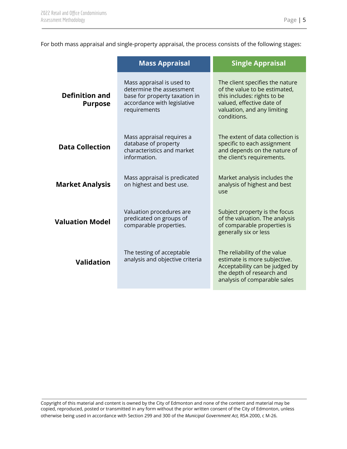For both mass appraisal and single-property appraisal, the process consists of the following stages:

|                                                                                                         | <b>Mass Appraisal</b>                                                                                                                 | <b>Single Appraisal</b>                                                                                                                                                    |  |
|---------------------------------------------------------------------------------------------------------|---------------------------------------------------------------------------------------------------------------------------------------|----------------------------------------------------------------------------------------------------------------------------------------------------------------------------|--|
| <b>Definition and</b><br><b>Purpose</b>                                                                 | Mass appraisal is used to<br>determine the assessment<br>base for property taxation in<br>accordance with legislative<br>requirements | The client specifies the nature<br>of the value to be estimated,<br>this includes: rights to be<br>valued, effective date of<br>valuation, and any limiting<br>conditions. |  |
| <b>Data Collection</b>                                                                                  | Mass appraisal requires a<br>database of property<br>characteristics and market<br>information.                                       | The extent of data collection is<br>specific to each assignment<br>and depends on the nature of<br>the client's requirements.                                              |  |
| Mass appraisal is predicated<br><b>Market Analysis</b><br>on highest and best use.                      |                                                                                                                                       | Market analysis includes the<br>analysis of highest and best<br>use                                                                                                        |  |
| Valuation procedures are<br>predicated on groups of<br><b>Valuation Model</b><br>comparable properties. |                                                                                                                                       | Subject property is the focus<br>of the valuation. The analysis<br>of comparable properties is<br>generally six or less                                                    |  |
| <b>Validation</b>                                                                                       | The testing of acceptable<br>analysis and objective criteria                                                                          | The reliability of the value<br>estimate is more subjective.<br>Acceptability can be judged by<br>the depth of research and<br>analysis of comparable sales                |  |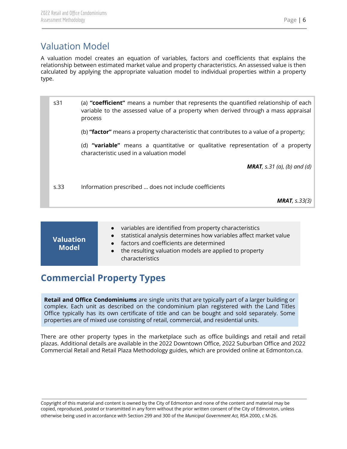# <span id="page-6-0"></span>Valuation Model

A valuation model creates an equation of variables, factors and coefficients that explains the relationship between estimated market value and property characteristics. An assessed value is then calculated by applying the appropriate valuation model to individual properties within a property type.

| s31  | (a) "coefficient" means a number that represents the quantified relationship of each<br>variable to the assessed value of a property when derived through a mass appraisal<br>process |
|------|---------------------------------------------------------------------------------------------------------------------------------------------------------------------------------------|
|      | (b) "factor" means a property characteristic that contributes to a value of a property;                                                                                               |
|      | (d) "variable" means a quantitative or qualitative representation of a property<br>characteristic used in a valuation model                                                           |
|      | <b>MRAT</b> , s.31 (a), (b) and (d)                                                                                                                                                   |
| s.33 | Information prescribed  does not include coefficients                                                                                                                                 |
|      | <b>MRAT</b> , $s.33(3)$                                                                                                                                                               |

| <b>Valuation</b><br><b>Model</b> | • variables are identified from property characteristics<br>statistical analysis determines how variables affect market value<br>• factors and coefficients are determined<br>• the resulting valuation models are applied to property<br>characteristics |
|----------------------------------|-----------------------------------------------------------------------------------------------------------------------------------------------------------------------------------------------------------------------------------------------------------|
|----------------------------------|-----------------------------------------------------------------------------------------------------------------------------------------------------------------------------------------------------------------------------------------------------------|

# <span id="page-6-1"></span>**Commercial Property Types**

**Retail and Office Condominiums** are single units that are typically part of a larger building or complex. Each unit as described on the condominium plan registered with the Land Titles Office typically has its own certificate of title and can be bought and sold separately. Some properties are of mixed use consisting of retail, commercial, and residential units.

There are other property types in the marketplace such as office buildings and retail and retail plazas. Additional details are available in the 2022 Downtown Office, 2022 Suburban Office and 2022 Commercial Retail and Retail Plaza Methodology guides, which are provided online at Edmonton.ca.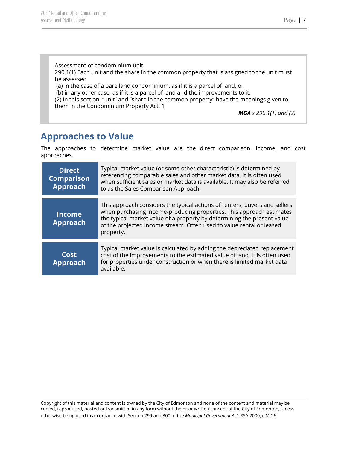Assessment of condominium unit 290.1(1) Each unit and the share in the common property that is assigned to the unit must be assessed (a) in the case of a bare land condominium, as if it is a parcel of land, or (b) in any other case, as if it is a parcel of land and the improvements to it. (2) In this section, "unit" and "share in the common property" have the meanings given to

them in the Condominium Property Act. 1

*MGA s.290.1(1) and (2)*

## <span id="page-7-0"></span>**Approaches to Value**

The approaches to determine market value are the direct comparison, income, and cost approaches.

| <b>Direct</b><br><b>Comparison</b><br><b>Approach</b> | Typical market value (or some other characteristic) is determined by<br>referencing comparable sales and other market data. It is often used<br>when sufficient sales or market data is available. It may also be referred<br>to as the Sales Comparison Approach.                                                 |
|-------------------------------------------------------|--------------------------------------------------------------------------------------------------------------------------------------------------------------------------------------------------------------------------------------------------------------------------------------------------------------------|
| <b>Income</b><br><b>Approach</b>                      | This approach considers the typical actions of renters, buyers and sellers<br>when purchasing income-producing properties. This approach estimates<br>the typical market value of a property by determining the present value<br>of the projected income stream. Often used to value rental or leased<br>property. |
| Cost<br><b>Approach</b>                               | Typical market value is calculated by adding the depreciated replacement<br>cost of the improvements to the estimated value of land. It is often used<br>for properties under construction or when there is limited market data<br>available.                                                                      |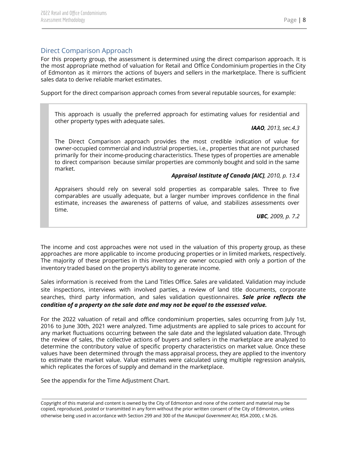#### <span id="page-8-0"></span>Direct Comparison Approach

For this property group, the assessment is determined using the direct comparison approach. It is the most appropriate method of valuation for Retail and Office Condominium properties in the City of Edmonton as it mirrors the actions of buyers and sellers in the marketplace. There is sufficient sales data to derive reliable market estimates.

Support for the direct comparison approach comes from several reputable sources, for example:

This approach is usually the preferred approach for estimating values for residential and other property types with adequate sales.

*IAAO, 2013, sec.4.3*

The Direct Comparison approach provides the most credible indication of value for owner-occupied commercial and industrial properties, i.e., properties that are not purchased primarily for their income-producing characteristics. These types of properties are amenable to direct comparison because similar properties are commonly bought and sold in the same market.

#### *Appraisal Institute of Canada [AIC], 2010, p. 13.4*

Appraisers should rely on several sold properties as comparable sales. Three to five comparables are usually adequate, but a larger number improves confidence in the final estimate, increases the awareness of patterns of value, and stabilizes assessments over time.

*UBC, 2009, p. 7.2*

The income and cost approaches were not used in the valuation of this property group, as these approaches are more applicable to income producing properties or in limited markets, respectively. The majority of these properties in this inventory are owner occupied with only a portion of the inventory traded based on the property's ability to generate income.

Sales information is received from the Land Titles Office. Sales are validated. Validation may include site inspections, interviews with involved parties, a review of land title documents, corporate searches, third party information, and sales validation questionnaires. *Sale price reflects the condition of a property on the sale date and may not be equal to the assessed value.*

For the 2022 valuation of retail and office condominium properties, sales occurring from July 1st, 2016 to June 30th, 2021 were analyzed. Time adjustments are applied to sale prices to account for any market fluctuations occurring between the sale date and the legislated valuation date. Through the review of sales, the collective actions of buyers and sellers in the marketplace are analyzed to determine the contributory value of specific property characteristics on market value. Once these values have been determined through the mass appraisal process, they are applied to the inventory to estimate the market value. Value estimates were calculated using multiple regression analysis, which replicates the forces of supply and demand in the marketplace.

See the appendix for the Time Adjustment Chart.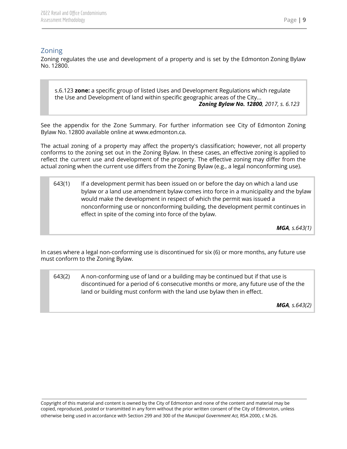#### <span id="page-9-0"></span>Zoning

Zoning regulates the use and development of a property and is set by the Edmonton Zoning Bylaw No. 12800.

s.6.123 **zone:** a specific group of listed Uses and Development Regulations which regulate the Use and Development of land within specific geographic areas of the City... *Zoning Bylaw No. 12800, 2017, s. 6.123*

See the appendix for the Zone Summary. For further information see City of Edmonton Zoning Bylaw No. 12800 available online at www.edmonton.ca.

The actual zoning of a property may affect the property's classification; however, not all property conforms to the zoning set out in the Zoning Bylaw. In these cases, an effective zoning is applied to reflect the current use and development of the property. The effective zoning may differ from the actual zoning when the current use differs from the Zoning Bylaw (e.g., a legal nonconforming use).

643(1) If a development permit has been issued on or before the day on which a land use bylaw or a land use amendment bylaw comes into force in a municipality and the bylaw would make the development in respect of which the permit was issued a nonconforming use or nonconforming building, the development permit continues in effect in spite of the coming into force of the bylaw.

*MGA, s.643(1)*

In cases where a legal non-conforming use is discontinued for six (6) or more months, any future use must conform to the Zoning Bylaw.

643(2) A non-conforming use of land or a building may be continued but if that use is discontinued for a period of 6 consecutive months or more, any future use of the the land or building must conform with the land use bylaw then in effect.

*MGA, s.643(2)*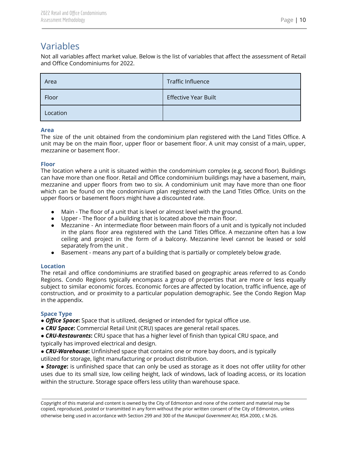## <span id="page-10-0"></span>Variables

Not all variables affect market value. Below is the list of variables that affect the assessment of Retail and Office Condominiums for 2022.

| Area     | Traffic Influence           |
|----------|-----------------------------|
| Floor    | <b>Effective Year Built</b> |
| Location |                             |

#### <span id="page-10-1"></span>**Area**

The size of the unit obtained from the condominium plan registered with the Land Titles Office. A unit may be on the main floor, upper floor or basement floor. A unit may consist of a main, upper, mezzanine or basement floor.

#### <span id="page-10-2"></span>**Floor**

The location where a unit is situated within the condominium complex (e.g, second floor). Buildings can have more than one floor. Retail and Office condominium buildings may have a basement, main, mezzanine and upper floors from two to six. A condominium unit may have more than one floor which can be found on the condominium plan registered with the Land Titles Office. Units on the upper floors or basement floors might have a discounted rate.

- Main The floor of a unit that is level or almost level with the ground.
- Upper The floor of a building that is located above the main floor.
- Mezzanine An intermediate floor between main floors of a unit and is typically not included in the plans floor area registered with the Land Titles Office. A mezzanine often has a low ceiling and project in the form of a balcony. Mezzanine level cannot be leased or sold separately from the unit .
- Basement means any part of a building that is partially or completely below grade.

#### <span id="page-10-3"></span>**Location**

The retail and office condominiums are stratified based on geographic areas referred to as Condo Regions. Condo Regions typically encompass a group of properties that are more or less equally subject to similar economic forces. Economic forces are affected by location, traffic influence, age of construction, and or proximity to a particular population demographic. See the Condo Region Map in the appendix.

#### <span id="page-10-4"></span>**Space Type**

● *Office Space***:** Space that is utilized, designed or intended for typical office use.

● *CRU Space***:** Commercial Retail Unit (CRU) spaces are general retail spaces.

● *CRU-Restaurants***:** CRU space that has a higher level of finish than typical CRU space, and typically has improved electrical and design.

● *CRU-Warehouse***:** Unfinished space that contains one or more bay doors, and is typically utilized for storage, light manufacturing or product distribution.

● *Storage***:** is unfinished space that can only be used as storage as it does not offer utility for other uses due to its small size, low ceiling height, lack of windows, lack of loading access, or its location within the structure. Storage space offers less utility than warehouse space.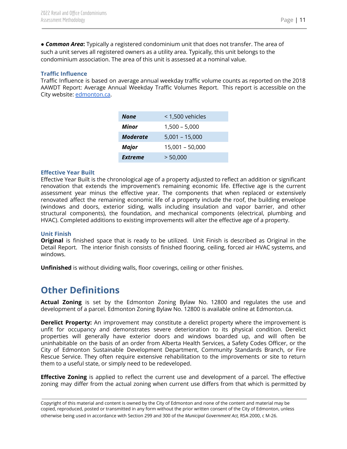● *Common Area***:** Typically a registered condominium unit that does not transfer. The area of such a unit serves all registered owners as a utility area. Typically, this unit belongs to the condominium association. The area of this unit is assessed at a nominal value.

#### <span id="page-11-0"></span>**Traffic Influence**

Traffic Influence is based on average annual weekday traffic volume counts as reported on the 2018 AAWDT Report: Average Annual Weekday Traffic Volumes Report. This report is accessible on the City website: [edmonton.ca.](https://public.tableau.com/profile/urban.analysis#!/vizhome/AAWDTREPORT-2016/Dashboard2?publish=yes)

| None            | < 1,500 vehicles |
|-----------------|------------------|
| Minor           | $1,500 - 5,000$  |
| <b>Moderate</b> | $5,001 - 15,000$ |
| Major           | 15,001 - 50,000  |
| Extreme         | > 50,000         |

#### <span id="page-11-1"></span>**Effective Year Built**

Effective Year Built is the chronological age of a property adjusted to reflect an addition or significant renovation that extends the improvement's remaining economic life. Effective age is the current assessment year minus the effective year. The components that when replaced or extensively renovated affect the remaining economic life of a property include the roof, the building envelope (windows and doors, exterior siding, walls including insulation and vapor barrier, and other structural components), the foundation, and mechanical components (electrical, plumbing and HVAC). Completed additions to existing improvements will alter the effective age of a property.

#### <span id="page-11-2"></span>**Unit Finish**

**Original** is finished space that is ready to be utilized. Unit Finish is described as Original in the Detail Report. The interior finish consists of finished flooring, ceiling, forced air HVAC systems, and windows.

**Unfinished** is without dividing walls, floor coverings, ceiling or other finishes.

## <span id="page-11-3"></span>**Other Definitions**

**Actual Zoning** is set by the Edmonton Zoning Bylaw No. 12800 and regulates the use and development of a parcel. Edmonton Zoning Bylaw No. 12800 is available online at Edmonton.ca.

**Derelict Property:** An improvement may constitute a derelict property where the improvement is unfit for occupancy and demonstrates severe deterioration to its physical condition. Derelict properties will generally have exterior doors and windows boarded up, and will often be uninhabitable on the basis of an order from Alberta Health Services, a Safety Codes Officer, or the City of Edmonton Sustainable Development Department, Community Standards Branch, or Fire Rescue Service. They often require extensive rehabilitation to the improvements or site to return them to a useful state, or simply need to be redeveloped.

**Effective Zoning** is applied to reflect the current use and development of a parcel. The effective zoning may differ from the actual zoning when current use differs from that which is permitted by

Copyright of this material and content is owned by the City of Edmonton and none of the content and material may be copied, reproduced, posted or transmitted in any form without the prior written consent of the City of Edmonton, unless otherwise being used in accordance with Section 299 and 300 of the *Municipal Government Act,* RSA 2000, c M-26.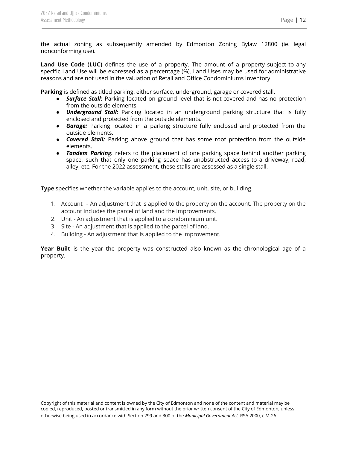the actual zoning as subsequently amended by Edmonton Zoning Bylaw 12800 (ie. legal nonconforming use).

**Land Use Code (LUC)** defines the use of a property. The amount of a property subject to any specific Land Use will be expressed as a percentage (%). Land Uses may be used for administrative reasons and are not used in the valuation of Retail and Office Condominiums Inventory.

**Parking** is defined as titled parking: either surface, underground, garage or covered stall.

- *Surface Stall:* Parking located on ground level that is not covered and has no protection from the outside elements.
- *Underground Stall:* Parking located in an underground parking structure that is fully enclosed and protected from the outside elements.
- *● Garage:* Parking located in a parking structure fully enclosed and protected from the outside elements.
- *● Covered Stall:* Parking above ground that has some roof protection from the outside elements.
- *Tandem Parking:* refers to the placement of one parking space behind another parking space, such that only one parking space has unobstructed access to a driveway, road, alley, etc. For the 2022 assessment, these stalls are assessed as a single stall.

**Type** specifies whether the variable applies to the account, unit, site, or building.

- 1. Account An adjustment that is applied to the property on the account. The property on the account includes the parcel of land and the improvements.
- 2. Unit An adjustment that is applied to a condominium unit.
- 3. Site An adjustment that is applied to the parcel of land.
- 4. Building An adjustment that is applied to the improvement.

**Year Built** is the year the property was constructed also known as the chronological age of a property.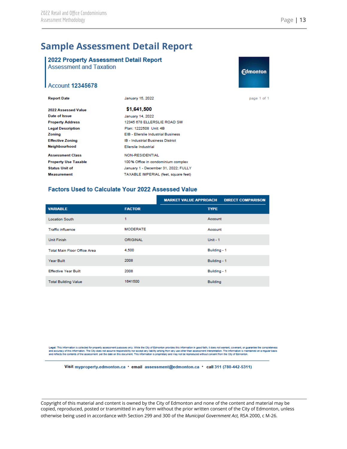## **Sample Assessment Detail Report**

### <span id="page-13-0"></span>2022 Property Assessment Detail Report

**Assessment and Taxation** 



page 1 of 1

| <b>Report Date</b>          | January 15, 2022                           |  |
|-----------------------------|--------------------------------------------|--|
| 2022 Assessed Value         | \$1,641,500                                |  |
| Date of Issue               | January 14, 2022                           |  |
| <b>Property Address</b>     | 12345 678 ELLERSLIE ROAD SW                |  |
| <b>Legal Description</b>    | Plan: 1222508 Unit 4B                      |  |
| Zoning                      | <b>EIB - Ellerslie Industrial Business</b> |  |
| <b>Effective Zoning</b>     | <b>IB - Industrial Business District</b>   |  |
| Neighbourhood               | Ellerslie Industrial                       |  |
| <b>Assessment Class</b>     | <b>NON-RESIDENTIAL</b>                     |  |
| <b>Property Use Taxable</b> | 100% Office in condominium complex         |  |
| <b>Status Unit of</b>       | January 1 - December 31, 2022; FULLY       |  |
| <b>Measurement</b>          | TAXABLE IMPERIAL (feet, square feet)       |  |

#### **Factors Used to Calculate Your 2022 Assessed Value**

|                                     |                 | <b>MARKET VALUE APPROACH</b> | <b>DIRECT COMPARISON</b> |
|-------------------------------------|-----------------|------------------------------|--------------------------|
| <b>VARIABLE</b>                     | <b>FACTOR</b>   | <b>TYPE</b>                  |                          |
| <b>Location South</b>               | 1               | Account                      |                          |
| <b>Traffic influence</b>            | <b>MODERATE</b> | Account                      |                          |
| <b>Unit Finish</b>                  | ORIGINAL        | Unit - $1$                   |                          |
| <b>Total Main Floor Office Area</b> | 4,500           | Building - 1                 |                          |
| Year Built                          | 2008            | Building - 1                 |                          |
| <b>Effective Year Built</b>         | 2008            | Building - 1                 |                          |
| <b>Total Building Value</b>         | 1641500         | <b>Building</b>              |                          |

Legal: This information is collected for property assessment purposes only. While the City of Edmonton provides this information in good fallty, it does not warrant, covenant, or guarantee the completeness<br>and accuracy of

Visit myproperty.edmonton.ca • email assessment@edmonton.ca • call 311 (780-442-5311)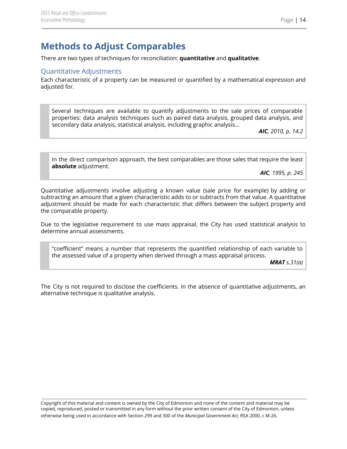## <span id="page-14-0"></span>**Methods to Adjust Comparables**

<span id="page-14-1"></span>There are two types of techniques for reconciliation: **quantitative** and **qualitative**.

#### Quantitative Adjustments

Each characteristic of a property can be measured or quantified by a mathematical expression and adjusted for.

Several techniques are available to quantify adjustments to the sale prices of comparable properties: data analysis techniques such as paired data analysis, grouped data analysis, and secondary data analysis, statistical analysis, including graphic analysis…

*AIC, 2010, p. 14.2*

In the direct comparison approach, the best comparables are those sales that require the least **absolute** adjustment.

*AIC, 1995, p. 245*

Quantitative adjustments involve adjusting a known value (sale price for example) by adding or subtracting an amount that a given characteristic adds to or subtracts from that value. A quantitative adjustment should be made for each characteristic that differs between the subject property and the comparable property.

Due to the legislative requirement to use mass appraisal, the City has used statistical analysis to determine annual assessments.

"coefficient" means a number that represents the quantified relationship of each variable to the assessed value of a property when derived through a mass appraisal process.

*MRAT s.31(a)*

The City is not required to disclose the coefficients. In the absence of quantitative adjustments, an alternative technique is qualitative analysis.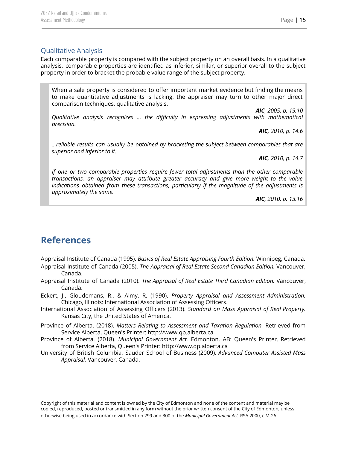#### <span id="page-15-0"></span>Qualitative Analysis

Each comparable property is compared with the subject property on an overall basis. In a qualitative analysis, comparable properties are identified as inferior, similar, or superior overall to the subject property in order to bracket the probable value range of the subject property.

When a sale property is considered to offer important market evidence but finding the means to make quantitative adjustments is lacking, the appraiser may turn to other major direct comparison techniques, qualitative analysis.

*AIC, 2005, p. 19.10 Qualitative analysis recognizes … the difficulty in expressing adjustments with mathematical precision.*

*AIC, 2010, p. 14.6*

*…reliable results can usually be obtained by bracketing the subject between comparables that are superior and inferior to it.*

*AIC, 2010, p. 14.7*

*If one or two comparable properties require fewer total adjustments than the other comparable transactions, an appraiser may attribute greater accuracy and give more weight to the value indications obtained from these transactions, particularly if the magnitude of the adjustments is approximately the same.*

*AIC, 2010, p. 13.16*

## <span id="page-15-1"></span>**References**

Appraisal Institute of Canada (1995). *Basics of Real Estate Appraising Fourth Edition.* Winnipeg, Canada. Appraisal Institute of Canada (2005). *The Appraisal of Real Estate Second Canadian Edition.* Vancouver, Canada.

Appraisal Institute of Canada (2010). *The Appraisal of Real Estate Third Canadian Edition.* Vancouver, Canada.

Eckert, J., Gloudemans, R., & Almy, R. (1990). *Property Appraisal and Assessment Administration.* Chicago, Illinois: International Association of Assessing Officers.

- International Association of Assessing Officers (2013). *Standard on Mass Appraisal of Real Property.* Kansas City, the United States of America.
- Province of Alberta. (2018). *Matters Relating to Assessment and Taxation Regulation.* Retrieved from Service Alberta, Queen's Printer: http://www.qp.alberta.ca
- Province of Alberta. (2018). *Municipal Government Act.* Edmonton, AB: Queen's Printer. Retrieved from Service Alberta, Queen's Printer: http://www.qp.alberta.ca
- University of British Columbia, Sauder School of Business (2009). *Advanced Computer Assisted Mass Appraisal.* Vancouver, Canada.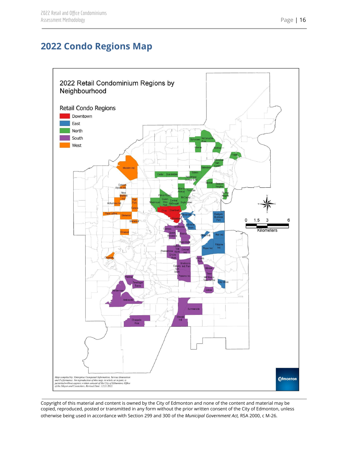# <span id="page-16-0"></span>**2022 Condo Regions Map**